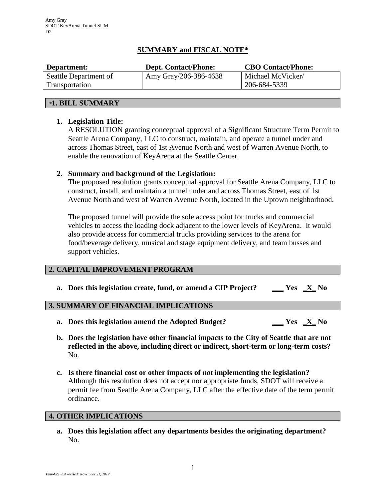# **SUMMARY and FISCAL NOTE\***

| Department:           | <b>Dept. Contact/Phone:</b> | <b>CBO Contact/Phone:</b> |
|-----------------------|-----------------------------|---------------------------|
| Seattle Department of | Amy Gray/206-386-4638       | Michael McVicker/         |
| Transportation        |                             | 206-684-5339              |

### *\****1. BILL SUMMARY**

## **1. Legislation Title:**

A RESOLUTION granting conceptual approval of a Significant Structure Term Permit to Seattle Arena Company, LLC to construct, maintain, and operate a tunnel under and across Thomas Street, east of 1st Avenue North and west of Warren Avenue North, to enable the renovation of KeyArena at the Seattle Center.

## **2. Summary and background of the Legislation:**

The proposed resolution grants conceptual approval for Seattle Arena Company, LLC to construct, install, and maintain a tunnel under and across Thomas Street, east of 1st Avenue North and west of Warren Avenue North, located in the Uptown neighborhood.

The proposed tunnel will provide the sole access point for trucks and commercial vehicles to access the loading dock adjacent to the lower levels of KeyArena. It would also provide access for commercial trucks providing services to the arena for food/beverage delivery, musical and stage equipment delivery, and team busses and support vehicles.

### **2. CAPITAL IMPROVEMENT PROGRAM**

**a. Does this legislation create, fund, or amend a CIP Project? \_\_\_ Yes \_X\_ No**

## **3. SUMMARY OF FINANCIAL IMPLICATIONS**

- **a. Does this legislation amend the Adopted Budget? \_\_\_ Yes \_X\_ No**
- **b. Does the legislation have other financial impacts to the City of Seattle that are not reflected in the above, including direct or indirect, short-term or long-term costs?** No.
- **c. Is there financial cost or other impacts of** *not* **implementing the legislation?** Although this resolution does not accept nor appropriate funds, SDOT will receive a permit fee from Seattle Arena Company, LLC after the effective date of the term permit ordinance.

### **4. OTHER IMPLICATIONS**

**a. Does this legislation affect any departments besides the originating department?** No.